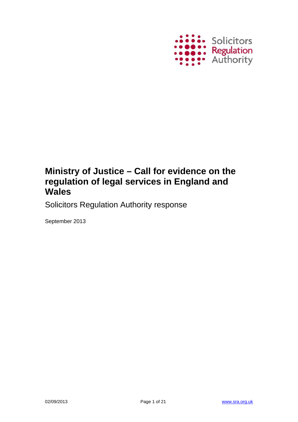

# Ministry of Justice - Call for evidence on the regulation of legal services in England and **Wales**

**Solicitors Regulation Authority response** 

September 2013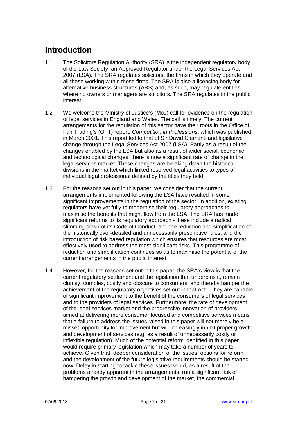### **Introduction**

- The Solicitors Regulation Authority (SRA) is the independent regulatory body  $1.1$ of the Law Society; an Approved Regulator under the Legal Services Act 2007 (LSA). The SRA regulates solicitors, the firms in which they operate and all those working within those firms. The SRA is also a licensing body for alternative business structures (ABS) and, as such, may regulate entities where no owners or managers are solicitors. The SRA regulates in the public interest
- $1.2$ We welcome the Ministry of Justice's (MoJ) call for evidence on the regulation of legal services in England and Wales. The call is timely. The current arrangements for the regulation of this sector have their roots in the Office of Fair Trading's (OFT) report, Competition in Professions, which was published in March 2001. This report led to that of Sir David Clementi and legislative change through the Legal Services Act 2007 (LSA). Partly as a result of the changes enabled by the LSA but also as a result of wider social, economic and technological changes, there is now a significant rate of change in the legal services market. These changes are breaking down the historical divisions in the market which linked reserved legal activities to types of individual legal professional defined by the titles they held.
- $1.3$ For the reasons set out in this paper, we consider that the current arrangements implemented following the LSA have resulted in some significant improvements in the regulation of the sector. In addition, existing regulators have vet fully to modernise their regulatory approaches to maximise the benefits that might flow from the LSA. The SRA has made significant reforms to its regulatory approach - these include a radical slimming down of its Code of Conduct, and the reduction and simplification of the historically over-detailed and unnecessarily prescriptive rules, and the introduction of risk based requiation which ensures that resources are most effectively used to address the most significant risks. This programme of reduction and simplification continues so as to maximise the potential of the current arrangements in the public interest.
- $14$ However, for the reasons set out in this paper, the SRA's view is that the current regulatory settlement and the legislation that underpins it, remain clumsy, complex, costly and obscure to consumers, and thereby hamper the achievement of the regulatory objectives set out in that Act. They are capable of significant improvement to the benefit of the consumers of legal services and to the providers of legal services. Furthermore, the rate of development of the legal services market and the progressive innovation of providers aimed at delivering more consumer focused and competitive services means that a failure to address the issues raised in this paper will not merely be a missed opportunity for improvement but will increasingly inhibit proper growth and development of services (e.g. as a result of unnecessarily costly or inflexible regulation). Much of the potential reform identified in this paper would require primary legislation which may take a number of years to achieve. Given that, deeper consideration of the issues, options for reform and the development of the future legislative requirements should be started now. Delay in starting to tackle these issues would, as a result of the problems already apparent in the arrangements, run a significant risk of hampering the growth and development of the market, the commercial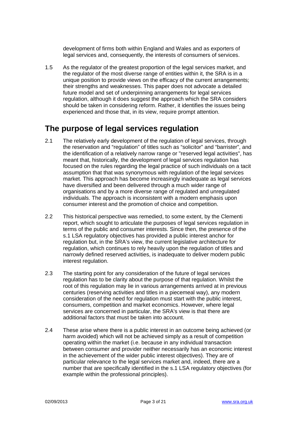development of firms both within England and Wales and as exporters of legal services and, consequently, the interests of consumers of services.

 $1.5$ As the regulator of the greatest proportion of the legal services market, and the regulator of the most diverse range of entities within it, the SRA is in a unique position to provide views on the efficacy of the current arrangements: their strengths and weaknesses. This paper does not advocate a detailed future model and set of underpinning arrangements for legal services regulation, although it does suggest the approach which the SRA considers should be taken in considering reform. Rather, it identifies the issues being experienced and those that, in its view, require prompt attention.

#### The purpose of legal services regulation

- $2.1$ The relatively early development of the regulation of legal services, through the reservation and "regulation" of titles such as "solicitor" and "barrister", and the identification of a relatively narrow range or "reserved legal activities", has meant that, historically, the development of legal services regulation has focused on the rules regarding the legal practice of such individuals on a tacit assumption that that was synonymous with regulation of the legal services market. This approach has become increasingly inadequate as legal services have diversified and been delivered through a much wider range of organisations and by a more diverse range of regulated and unregulated individuals. The approach is inconsistent with a modern emphasis upon consumer interest and the promotion of choice and competition.
- $2.2$ This historical perspective was remedied, to some extent, by the Clementi report, which sought to articulate the purposes of legal services regulation in terms of the public and consumer interests. Since then, the presence of the s.1 LSA regulatory objectives has provided a public interest anchor for regulation but, in the SRA's view, the current legislative architecture for regulation, which continues to rely heavily upon the regulation of titles and narrowly defined reserved activities, is inadequate to deliver modern public interest regulation.
- $2.3$ The starting point for any consideration of the future of legal services regulation has to be clarity about the purpose of that regulation. Whilst the root of this regulation may lie in various arrangements arrived at in previous centuries (reserving activities and titles in a piecemeal way), any modern consideration of the need for regulation must start with the public interest, consumers, competition and market economics. However, where legal services are concerned in particular, the SRA's view is that there are additional factors that must be taken into account.
- $2.4$ These arise where there is a public interest in an outcome being achieved (or harm avoided) which will not be achieved simply as a result of competition operating within the market (i.e. because in any individual transaction between consumer and provider neither necessarily has an economic interest in the achievement of the wider public interest objectives). They are of particular relevance to the legal services market and, indeed, there are a number that are specifically identified in the s.1 LSA regulatory objectives (for example within the professional principles).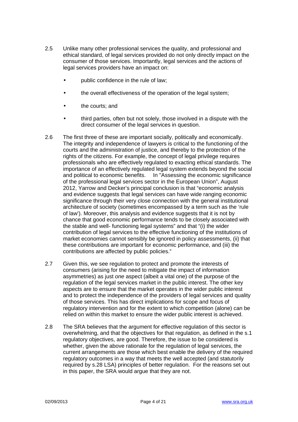- $2.5$ Unlike many other professional services the quality, and professional and ethical standard, of legal services provided do not only directly impact on the consumer of those services. Importantly, legal services and the actions of legal services providers have an impact on:
	- public confidence in the rule of law:
	- the overall effectiveness of the operation of the legal system;
	- the courts; and
	- third parties, often but not solely, those involved in a dispute with the direct consumer of the legal services in question.
- $2.6$ The first three of these are important socially, politically and economically. The integrity and independence of lawyers is critical to the functioning of the courts and the administration of justice, and thereby to the protection of the rights of the citizens. For example, the concept of legal privilege requires professionals who are effectively regulated to exacting ethical standards. The importance of an effectively regulated legal system extends beyond the social and political to economic benefits. In "Assessing the economic significance of the professional legal services sector in the European Union". August 2012, Yarrow and Decker's principal conclusion is that "economic analysis and evidence suggests that legal services can have wide ranging economic significance through their very close connection with the general institutional architecture of society (sometimes encompassed by a term such as the 'rule of law'). Moreover, this analysis and evidence suggests that it is not by chance that good economic performance tends to be closely associated with the stable and well- functioning legal systems" and that "(i) the wider contribution of legal services to the effective functioning of the institutions of market economies cannot sensibly be janored in policy assessments. (ii) that these contributions are important for economic performance, and (iii) the contributions are affected by public policies."
- $2.7$ Given this, we see regulation to protect and promote the interests of consumers (arising for the need to mitigate the impact of information asymmetries) as just one aspect (albeit a vital one) of the purpose of the requiation of the legal services market in the public interest. The other key aspects are to ensure that the market operates in the wider public interest and to protect the independence of the providers of legal services and quality of those services. This has direct implications for scope and focus of regulatory intervention and for the extent to which competition (alone) can be relied on within this market to ensure the wider public interest is achieved.
- $2.8$ The SRA believes that the argument for effective regulation of this sector is overwhelming, and that the objectives for that regulation, as defined in the s.1 regulatory objectives, are good. Therefore, the issue to be considered is whether, given the above rationale for the regulation of legal services, the current arrangements are those which best enable the delivery of the required regulatory outcomes in a way that meets the well accepted (and statutorily required by s.28 LSA) principles of better regulation. For the reasons set out in this paper, the SRA would arque that they are not.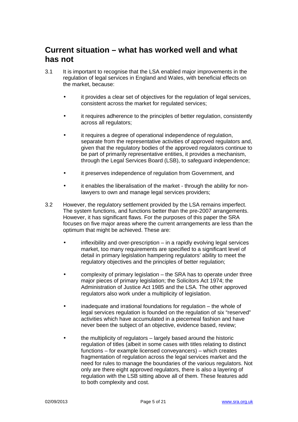#### Current situation – what has worked well and what has not

- $3.1$ It is important to recognise that the LSA enabled major improvements in the regulation of legal services in England and Wales, with beneficial effects on the market, because:
	- it provides a clear set of objectives for the regulation of legal services. consistent across the market for regulated services;
	- it requires adherence to the principles of better regulation, consistently across all regulators:
	- it requires a degree of operational independence of regulation, separate from the representative activities of approved regulators and, given that the regulatory bodies of the approved regulators continue to be part of primarily representative entities, it provides a mechanism, through the Legal Services Board (LSB), to safeguard independence;
	- it preserves independence of regulation from Government, and
	- it enables the liberalisation of the market through the ability for nonlawyers to own and manage legal services providers;
- $3.2$ However, the regulatory settlement provided by the LSA remains imperfect. The system functions, and functions better than the pre-2007 arrangements. However, it has significant flaws. For the purposes of this paper the SRA focuses on five major areas where the current arrangements are less than the optimum that might be achieved. These are:
	- inflexibility and over-prescription in a rapidly evolving legal services market, too many requirements are specified to a significant level of detail in primary legislation hampering regulators' ability to meet the regulatory objectives and the principles of better regulation;
	- complexity of primary legislation the SRA has to operate under three major pieces of primary legislation; the Solicitors Act 1974; the Administration of Justice Act 1985 and the LSA. The other approved regulators also work under a multiplicity of legislation.
	- inadequate and irrational foundations for regulation the whole of legal services regulation is founded on the regulation of six "reserved" activities which have accumulated in a piecemeal fashion and have never been the subject of an objective, evidence based, review;
	- the multiplicity of regulators largely based around the historic regulation of titles (albeit in some cases with titles relating to distinct functions – for example licensed conveyancers) – which creates fragmentation of regulation across the legal services market and the need for rules to manage the boundaries of the various regulators. Not only are there eight approved regulators, there is also a layering of regulation with the LSB sitting above all of them. These features add to both complexity and cost.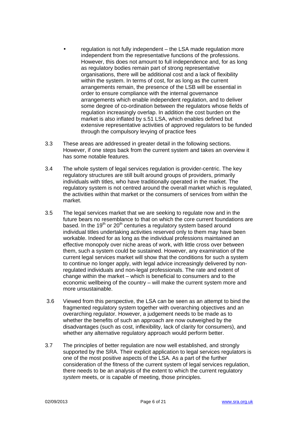- regulation is not fully independent the LSA made regulation more independent from the representative functions of the professions. However, this does not amount to full independence and, for as long as regulatory bodies remain part of strong representative organisations, there will be additional cost and a lack of flexibility within the system. In terms of cost, for as long as the current arrangements remain, the presence of the LSB will be essential in order to ensure compliance with the internal governance arrangements which enable independent regulation, and to deliver some degree of co-ordination between the regulators whose fields of regulation increasingly overlap. In addition the cost burden on the market is also inflated by s.51 LSA, which enables defined but extensive representative activities of approved regulators to be funded through the compulsory levying of practice fees
- $3.3$ These areas are addressed in greater detail in the following sections. However, if one steps back from the current system and takes an overview it has some notable features.
- $34$ The whole system of legal services regulation is provider-centric. The key regulatory structures are still built around groups of providers, primarily individuals with titles, who have traditionally operated in the market. The requiatory system is not centred around the overall market which is requiated. the activities within that market or the consumers of services from within the market.
- $3.5$ The legal services market that we are seeking to regulate now and in the future bears no resemblance to that on which the core current foundations are based. In the  $19<sup>th</sup>$  or 20<sup>th</sup> centuries a regulatory system based around individual titles undertaking activities reserved only to them may have been workable. Indeed for as long as the individual professions maintained an effective monopoly over niche areas of work, with little cross over between them, such a system could be sustained. However, any examination of the current legal services market will show that the conditions for such a system to continue no longer apply, with legal advice increasingly delivered by nonregulated individuals and non-legal professionals. The rate and extent of change within the market - which is beneficial to consumers and to the economic wellbeing of the country – will make the current system more and more unsustainable.
- $3.6$ Viewed from this perspective, the LSA can be seen as an attempt to bind the fragmented regulatory system together with overarching objectives and an overarching regulator. However, a judgement needs to be made as to whether the benefits of such an approach are now outweighed by the disadvantages (such as cost, inflexibility, lack of clarity for consumers), and whether any alternative regulatory approach would perform better.
- $3.7$ The principles of better regulation are now well established, and strongly supported by the SRA. Their explicit application to legal services regulators is one of the most positive aspects of the LSA. As a part of the further consideration of the fitness of the current system of legal services regulation, there needs to be an analysis of the extent to which the current regulatory system meets, or is capable of meeting, those principles.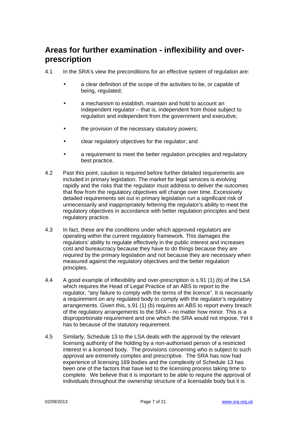#### Areas for further examination - inflexibility and overprescription

- $4.1$ In the SRA's view the preconditions for an effective system of regulation are:
	- $\bullet$ a clear definition of the scope of the activities to be, or capable of being, regulated:
	- a mechanism to establish, maintain and hold to account an  $\bullet$ independent regulator – that is, independent from those subject to regulation and independent from the government and executive;
	- the provision of the necessary statutory powers;  $\bullet$
	- clear regulatory objectives for the regulator; and
	- a requirement to meet the better regulation principles and regulatory best practice.
- $4.2$ Past this point, caution is required before further detailed requirements are included in primary legislation. The market for legal services is evolving rapidly and the risks that the requlator must address to deliver the outcomes that flow from the regulatory objectives will change over time. Excessively detailed requirements set out in primary legislation run a significant risk of unnecessarily and inappropriately fettering the regulator's ability to meet the regulatory objectives in accordance with better regulation principles and best regulatory practice.
- 43 In fact, these are the conditions under which approved regulators are operating within the current regulatory framework. This damages the regulators' ability to regulate effectively in the public interest and increases cost and bureaucracy because they have to do things because they are required by the primary legislation and not because they are necessary when measured against the regulatory objectives and the better regulation principles.
- 44 A good example of inflexibility and over-prescription is s.91 (1) (b) of the LSA which requires the Head of Legal Practice of an ABS to report to the regulator, "any failure to comply with the terms of the licence". It is necessarily a requirement on any regulated body to comply with the regulator's regulatory arrangements. Given this, s.91 (1) (b) requires an ABS to report every breach of the regulatory arrangements to the SRA – no matter how minor. This is a disproportionate requirement and one which the SRA would not impose. Yet it has to because of the statutory requirement.
- 4.5 Similarly, Schedule 13 to the LSA deals with the approval by the relevant licensing authority of the holding by a non-authorised person of a restricted interest in a licensed body. The provisions concerning who is subject to such approval are extremely complex and prescriptive. The SRA has now had experience of licensing 169 bodies and the complexity of Schedule 13 has been one of the factors that have led to the licensing process taking time to complete. We believe that it is important to be able to require the approval of individuals throughout the ownership structure of a licensable body but it is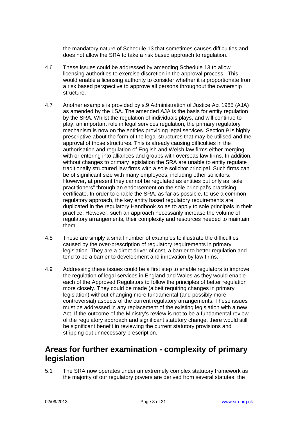the mandatory nature of Schedule 13 that sometimes causes difficulties and does not allow the SRA to take a risk based approach to regulation.

- $4.6$ These issues could be addressed by amending Schedule 13 to allow licensing authorities to exercise discretion in the approval process. This would enable a licensing authority to consider whether it is proportionate from a risk based perspective to approve all persons throughout the ownership structure.
- 4.7 Another example is provided by s.9 Administration of Justice Act 1985 (AJA) as amended by the LSA. The amended AJA is the basis for entity regulation by the SRA. Whilst the regulation of individuals plays, and will continue to play, an important role in legal services regulation, the primary regulatory mechanism is now on the entities providing legal services. Section 9 is highly prescriptive about the form of the legal structures that may be utilised and the approval of those structures. This is already causing difficulties in the authorisation and regulation of English and Welsh law firms either merging with or entering into alliances and groups with overseas law firms. In addition, without changes to primary legislation the SRA are unable to entity regulate traditionally structured law firms with a sole solicitor principal. Such firms can be of significant size with many employees, including other solicitors. However, at present they cannot be regulated as entities but only as "sole" practitioners" through an endorsement on the sole principal's practising certificate. In order to enable the SRA, as far as possible, to use a common regulatory approach, the key entity based regulatory reguirements are duplicated in the regulatory Handbook so as to apply to sole principals in their practice. However, such an approach necessarily increase the volume of requilatory arrangements, their complexity and resources needed to maintain them
- 4.8 These are simply a small number of examples to illustrate the difficulties caused by the over-prescription of regulatory requirements in primary legislation. They are a direct driver of cost, a barrier to better regulation and tend to be a barrier to development and innovation by law firms.
- 4.9 Addressing these issues could be a first step to enable regulators to improve the regulation of legal services in England and Wales as they would enable each of the Approved Regulators to follow the principles of better regulation more closely. They could be made (albeit requiring changes in primary legislation) without changing more fundamental (and possibly more controversial) aspects of the current regulatory arrangements. These issues must be addressed in any replacement of the existing legislation with a new Act. If the outcome of the Ministry's review is not to be a fundamental review of the regulatory approach and significant statutory change, there would still be significant benefit in reviewing the current statutory provisions and stripping out unnecessary prescription.

#### Areas for further examination - complexity of primary legislation

 $51$ The SRA now operates under an extremely complex statutory framework as the majority of our regulatory powers are derived from several statutes: the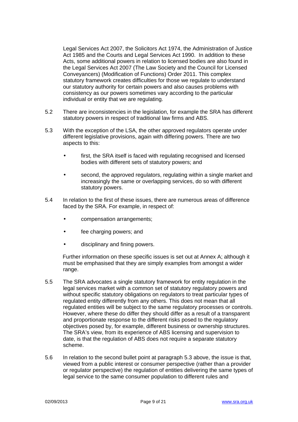Legal Services Act 2007, the Solicitors Act 1974, the Administration of Justice Act 1985 and the Courts and Legal Services Act 1990. In addition to these Acts, some additional powers in relation to licensed bodies are also found in the Legal Services Act 2007 (The Law Society and the Council for Licensed Conveyancers) (Modification of Functions) Order 2011. This complex statutory framework creates difficulties for those we regulate to understand our statutory authority for certain powers and also causes problems with consistency as our powers sometimes vary according to the particular individual or entity that we are regulating.

- $5.2$ There are inconsistencies in the legislation, for example the SRA has different statutory powers in respect of traditional law firms and ABS.
- $5.3$ With the exception of the LSA, the other approved regulators operate under different legislative provisions, again with differing powers. There are two aspects to this:
	- first, the SRA itself is faced with regulating recognised and licensed bodies with different sets of statutory powers; and
	- second, the approved regulators, regulating within a single market and increasingly the same or overlapping services, do so with different statutory powers.
- $5.4$ In relation to the first of these issues, there are numerous areas of difference faced by the SRA. For example, in respect of:
	- compensation arrangements;
	- fee charging powers; and
	- disciplinary and fining powers.

Further information on these specific issues is set out at Annex A: although it must be emphasised that they are simply examples from amongst a wider range.

- $5.5$ The SRA advocates a single statutory framework for entity regulation in the legal services market with a common set of statutory regulatory powers and without specific statutory obligations on regulators to treat particular types of regulated entity differently from any others. This does not mean that all regulated entities will be subject to the same regulatory processes or controls. However, where these do differ they should differ as a result of a transparent and proportionate response to the different risks posed to the regulatory objectives posed by, for example, different business or ownership structures. The SRA's view, from its experience of ABS licensing and supervision to date, is that the regulation of ABS does not require a separate statutory scheme
- $5.6$ In relation to the second bullet point at paragraph 5.3 above, the issue is that, viewed from a public interest or consumer perspective (rather than a provider or regulator perspective) the regulation of entities delivering the same types of legal service to the same consumer population to different rules and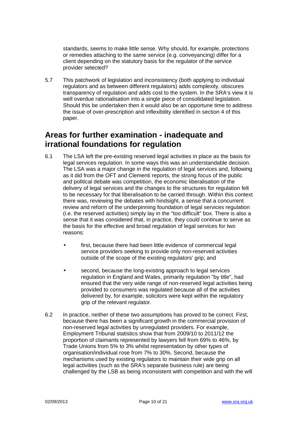standards, seems to make little sense. Why should, for example, protections or remedies attaching to the same service (e.g. conveyancing) differ for a client depending on the statutory basis for the regulator of the service provider selected?

This patchwork of legislation and inconsistency (both applying to individual 5.7 regulators and as between different regulators) adds complexity, obscures transparency of regulation and adds cost to the system. In the SRA's view it is well overdue rationalisation into a single piece of consolidated legislation. Should this be undertaken then it would also be an opportune time to address the issue of over-prescription and inflexibility identified in section 4 of this paper.

#### Areas for further examination - inadequate and irrational foundations for regulation

- $6.1$ The LSA left the pre-existing reserved legal activities in place as the basis for legal services regulation. In some ways this was an understandable decision. The LSA was a major change in the regulation of legal services and, following as it did from the OFT and Clementi reports, the strong focus of the public and political debate was competition, the economic liberalisation of the delivery of legal services and the changes to the structures for regulation felt to be necessary for that liberalisation to be carried through. Within this context there was, reviewing the debates with hindsight, a sense that a concurrent review and reform of the underpinning foundation of legal services regulation (i.e. the reserved activities) simply lay in the "too difficult" box. There is also a sense that it was considered that, in practice, they could continue to serve as the basis for the effective and broad regulation of legal services for two reasons:
	- first, because there had been little evidence of commercial legal  $\bullet$ service providers seeking to provide only non-reserved activities outside of the scope of the existing regulators' grip; and
	- second, because the long-existing approach to legal services regulation in England and Wales, primarily regulation "by title", had ensured that the very wide range of non-reserved legal activities being provided to consumers was regulated because all of the activities delivered by, for example, solicitors were kept within the regulatory grip of the relevant regulator.
- $6.2$ In practice, neither of these two assumptions has proved to be correct. First, because there has been a significant growth in the commercial provision of non-reserved legal activities by unregulated providers. For example, Employment Tribunal statistics show that from 2009/10 to 2011/12 the proportion of claimants represented by lawyers fell from 69% to 46%, by Trade Unions from 5% to 3% whilst representation by other types of organisation/individual rose from 7% to 30%. Second, because the mechanisms used by existing regulators to maintain their wide grip on all legal activities (such as the SRA's separate business rule) are being challenged by the LSB as being inconsistent with competition and with the will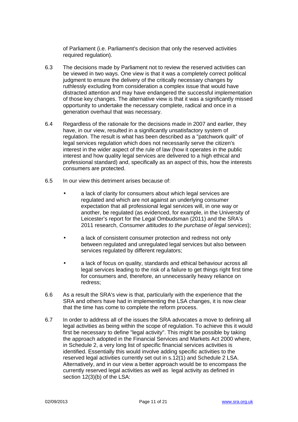of Parliament (i.e. Parliament's decision that only the reserved activities required regulation).

- 6.3 The decisions made by Parliament not to review the reserved activities can be viewed in two ways. One view is that it was a completely correct political judament to ensure the delivery of the critically necessary changes by ruthlessly excluding from consideration a complex issue that would have distracted attention and may have endangered the successful implementation of those key changes. The alternative view is that it was a significantly missed opportunity to undertake the necessary complete, radical and once in a generation overhaul that was necessary.
- $6.4$ Regardless of the rationale for the decisions made in 2007 and earlier, they have, in our view, resulted in a significantly unsatisfactory system of regulation. The result is what has been described as a "patchwork quilt" of legal services regulation which does not necessarily serve the citizen's interest in the wider aspect of the rule of law (how it operates in the public interest and how quality legal services are delivered to a high ethical and professional standard) and, specifically as an aspect of this, how the interests consumers are protected.
- 6.5 In our view this detriment arises because of
	- a lack of clarity for consumers about which legal services are regulated and which are not against an underlying consumer expectation that all professional legal services will, in one way or another, be regulated (as evidenced, for example, in the University of Leicester's report for the Legal Ombudsman (2011) and the SRA's 2011 research, Consumer attitudes to the purchase of legal services);
	- a lack of consistent consumer protection and redress not only  $\bullet$ between regulated and unregulated legal services but also between services regulated by different regulators;
	- a lack of focus on quality, standards and ethical behaviour across all legal services leading to the risk of a failure to get things right first time for consumers and, therefore, an unnecessarily heavy reliance on redress:
- 6.6 As a result the SRA's view is that, particularly with the experience that the SRA and others have had in implementing the LSA changes, it is now clear that the time has come to complete the reform process.
- 6.7 In order to address all of the issues the SRA advocates a move to defining all legal activities as being within the scope of regulation. To achieve this it would first be necessary to define "legal activity". This might be possible by taking the approach adopted in the Financial Services and Markets Act 2000 where. in Schedule 2, a very long list of specific financial services activities is identified. Essentially this would involve adding specific activities to the reserved legal activities currently set out in s.12(1) and Schedule 2 LSA. Alternatively, and in our view a better approach would be to encompass the currently reserved legal activities as well as legal activity as defined in section 12(3)(b) of the LSA: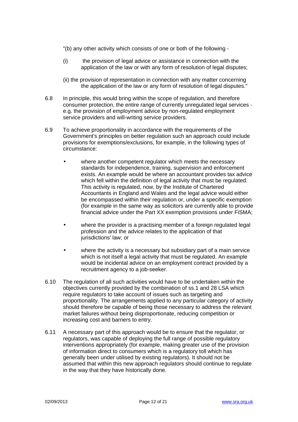- "(b) any other activity which consists of one or both of the following -
- the provision of legal advice or assistance in connection with the  $(i)$ application of the law or with any form of resolution of legal disputes;
- (ii) the provision of representation in connection with any matter concerning the application of the law or any form of resolution of legal disputes."
- $6.8$ In principle, this would bring within the scope of regulation, and therefore consumer protection, the entire range of currently unregulated legal services e.g. the provision of employment advice by non-regulated employment service providers and will-writing service providers.
- 6.9 To achieve proportionality in accordance with the requirements of the Government's principles on better regulation such an approach could include provisions for exemptions/exclusions, for example, in the following types of circumstance:
	- where another competent regulator which meets the necessary standards for independence, training, supervision and enforcement exists. An example would be where an accountant provides tax advice which fell within the definition of legal activity that must be regulated. This activity is regulated, now, by the Institute of Chartered Accountants in England and Wales and the legal advice would either be encompassed within their regulation or, under a specific exemption (for example in the same way as solicitors are currently able to provide financial advice under the Part XX exemption provisions under FISMA;
	- where the provider is a practising member of a foreign regulated legal profession and the advice relates to the application of that jurisdictions' law: or
	- where the activity is a necessary but subsidiary part of a main service which is not itself a legal activity that must be regulated. An example would be incidental advice on an employment contract provided by a recruitment agency to a job-seeker.
- $6.10$ The regulation of all such activities would have to be undertaken within the objectives currently provided by the combination of ss.1 and 28 LSA which require regulators to take account of issues such as targeting and proportionality. The arrangements applied to any particular category of activity should therefore be capable of being those necessary to address the relevant market failures without being disproportionate, reducing competition or increasing cost and barriers to entry.
- $6.11$ A necessary part of this approach would be to ensure that the regulator, or regulators, was capable of deploying the full range of possible regulatory interventions appropriately (for example, making greater use of the provision of information direct to consumers which is a regulatory toll which has generally been under utilised by existing regulators). It should not be assumed that within this new approach regulators should continue to regulate in the way that they have historically done.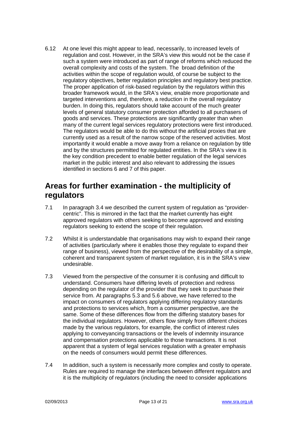$6.12$ At one level this might appear to lead, necessarily, to increased levels of requilation and cost. However, in the SRA's view this would not be the case if such a system were introduced as part of range of reforms which reduced the overall complexity and costs of the system. The broad definition of the activities within the scope of regulation would, of course be subject to the regulatory objectives, better regulation principles and regulatory best practice. The proper application of risk-based regulation by the regulators within this broader framework would, in the SRA's view, enable more proportionate and targeted interventions and, therefore, a reduction in the overall regulatory burden. In doing this, regulators should take account of the much greater levels of general statutory consumer protection afforded to all purchasers of goods and services. These protections are significantly greater than when many of the current legal services regulatory protections were first introduced. The regulators would be able to do this without the artificial proxies that are currently used as a result of the narrow scope of the reserved activities. Most importantly it would enable a move away from a reliance on regulation by title and by the structures permitted for regulated entities. In the SRA's view it is the key condition precedent to enable better regulation of the legal services market in the public interest and also relevant to addressing the issues identified in sections 6 and 7 of this paper.

#### Areas for further examination - the multiplicity of regulators

- $7.1$ In paragraph 3.4 we described the current system of regulation as "providercentric". This is mirrored in the fact that the market currently has eight approved regulators with others seeking to become approved and existing regulators seeking to extend the scope of their regulation.
- $7.2$ Whilst it is understandable that organisations may wish to expand their range of activities (particularly where it enables those they regulate to expand their range of business), viewed from the perspective of the desirability of a simple. coherent and transparent system of market regulation, it is in the SRA's view undesirable.
- $7.3$ Viewed from the perspective of the consumer it is confusing and difficult to understand. Consumers have differing levels of protection and redress depending on the regulator of the provider that they seek to purchase their service from. At paragraphs 5.3 and 5.6 above, we have referred to the impact on consumers of regulators applying differing regulatory standards and protections to services which, from a consumer perspective, are the same. Some of these differences flow from the differing statutory bases for the individual regulators. However, others flow simply from different choices made by the various regulators, for example, the conflict of interest rules applying to conveyancing transactions or the levels of indemnity insurance and compensation protections applicable to those transactions. It is not apparent that a system of legal services regulation with a greater emphasis on the needs of consumers would permit these differences.
- $74$ In addition, such a system is necessarily more complex and costly to operate. Rules are required to manage the interfaces between different requiators and it is the multiplicity of regulators (including the need to consider applications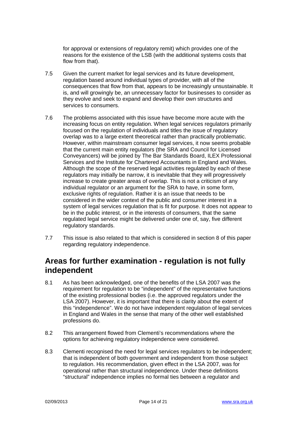for approval or extensions of regulatory remit) which provides one of the reasons for the existence of the LSB (with the additional systems costs that flow from that).

- $7.5$ Given the current market for legal services and its future development, regulation based around individual types of provider, with all of the consequences that flow from that, appears to be increasingly unsustainable. It is, and will growingly be, an unnecessary factor for businesses to consider as they evolve and seek to expand and develop their own structures and services to consumers.
- 7.6 The problems associated with this issue have become more acute with the increasing focus on entity regulation. When legal services regulators primarily focused on the regulation of individuals and titles the issue of regulatory overlap was to a large extent theoretical rather than practically problematic. However, within mainstream consumer legal services, it now seems probable that the current main entity regulators (the SRA and Council for Licensed Conveyancers) will be joined by The Bar Standards Board, ILEX Professional Services and the Institute for Chartered Accountants in England and Wales. Although the scope of the reserved legal activities regulated by each of these requilators may initially be narrow, it is inevitable that they will progressively increase to create greater areas of overlap. This is not a criticism of any individual regulator or an argument for the SRA to have, in some form, exclusive rights of regulation. Rather it is an issue that needs to be considered in the wider context of the public and consumer interest in a system of legal services regulation that is fit for purpose. It does not appear to be in the public interest, or in the interests of consumers, that the same regulated legal service might be delivered under one of, say, five different regulatory standards.
- $7.7$ This issue is also related to that which is considered in section 8 of this paper regarding regulatory independence.

#### Areas for further examination - regulation is not fully independent

- $8.1$ As has been acknowledged, one of the benefits of the LSA 2007 was the requirement for requlation to be "independent" of the representative functions of the existing professional bodies (i.e. the approved regulators under the LSA 2007). However, it is important that there is clarity about the extent of this "independence". We do not have independent regulation of legal services in England and Wales in the sense that many of the other well established professions do.
- $8.2$ This arrangement flowed from Clementi's recommendations where the options for achieving regulatory independence were considered.
- 8.3 Clementi recognised the need for legal services regulators to be independent; that is independent of both government and independent from those subject to regulation. His recommendation, given effect in the LSA 2007, was for operational rather than structural independence. Under these definitions "structural" independence implies no formal ties between a regulator and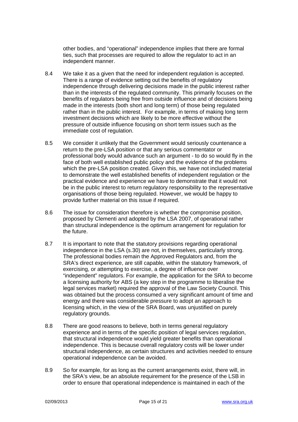other bodies, and "operational" independence implies that there are formal ties, such that processes are required to allow the regulator to act in an independent manner.

- 8.4 We take it as a given that the need for independent regulation is accepted. There is a range of evidence setting out the benefits of regulatory independence through delivering decisions made in the public interest rather than in the interests of the regulated community. This primarily focuses on the benefits of regulators being free from outside influence and of decisions being made in the interests (both short and long term) of those being regulated rather than in the public interest. For example, in terms of making long term investment decisions which are likely to be more effective without the pressure of outside influence focusing on short term issues such as the immediate cost of regulation.
- 8.5 We consider it unlikely that the Government would seriously countenance a return to the pre-LSA position or that any serious commentator or professional body would advance such an argument - to do so would fly in the face of both well established public policy and the evidence of the problems which the pre-LSA position created. Given this, we have not included material to demonstrate the well established benefits of independent regulation or the practical evidence and experience we have to demonstrate that it would not be in the public interest to return regulatory responsibility to the representative organisations of those being regulated. However, we would be happy to provide further material on this issue if required.
- 8.6 The issue for consideration therefore is whether the compromise position. proposed by Clementi and adopted by the LSA 2007, of operational rather than structural independence is the optimum arrangement for regulation for the future.
- 8.7 It is important to note that the statutory provisions regarding operational independence in the LSA (s.30) are not, in themselves, particularly strong. The professional bodies remain the Approved Regulators and, from the SRA's direct experience, are still capable, within the statutory framework, of exercising, or attempting to exercise, a degree of influence over "independent" regulators. For example, the application for the SRA to become a licensing authority for ABS (a key step in the programme to liberalise the legal services market) required the approval of the Law Society Council. This was obtained but the process consumed a very significant amount of time and energy and there was considerable pressure to adopt an approach to licensing which, in the view of the SRA Board, was unjustified on purely regulatory grounds.
- 8.8 There are good reasons to believe, both in terms general regulatory experience and in terms of the specific position of legal services regulation, that structural independence would vield greater benefits than operational independence. This is because overall regulatory costs will be lower under structural independence, as certain structures and activities needed to ensure operational independence can be avoided.
- 8.9 So for example, for as long as the current arrangements exist, there will, in the SRA's view, be an absolute requirement for the presence of the LSB in order to ensure that operational independence is maintained in each of the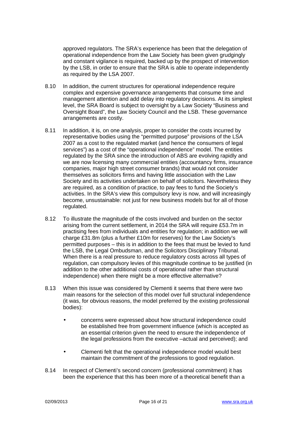approved regulators. The SRA's experience has been that the delegation of operational independence from the Law Society has been given grudgingly and constant vigilance is required, backed up by the prospect of intervention by the LSB, in order to ensure that the SRA is able to operate independently as required by the LSA 2007.

- $8.10$ In addition, the current structures for operational independence require complex and expensive governance arrangements that consume time and management attention and add delay into regulatory decisions. At its simplest level, the SRA Board is subject to oversight by a Law Society "Business and Oversight Board", the Law Society Council and the LSB. These governance arrangements are costly.
- 8.11 In addition, it is, on one analysis, proper to consider the costs incurred by representative bodies using the "permitted purpose" provisions of the LSA 2007 as a cost to the regulated market (and hence the consumers of legal services") as a cost of the "operational independence" model. The entities regulated by the SRA since the introduction of ABS are evolving rapidly and we are now licensing many commercial entities (accountancy firms, insurance companies, major high street consumer brands) that would not consider themselves as solicitors firms and having little association with the Law Society and its activities undertaken on behalf of solicitors. Nevertheless they are required, as a condition of practice, to pay fees to fund the Society's activities. In the SRA's view this compulsory levy is now, and will increasingly become, unsustainable: not just for new business models but for all of those regulated.
- $8.12$ To illustrate the magnitude of the costs involved and burden on the sector arising from the current settlement, in 2014 the SRA will require £53.7m in practising fees from individuals and entities for regulation; in addition we will charge £31.8m (plus a further £10m for reserves) for the Law Society's permitted purposes – this is in addition to the fees that must be levied to fund the LSB, the Legal Ombudsman, and the Solicitors Disciplinary Tribunal. When there is a real pressure to reduce regulatory costs across all types of regulation, can compulsory levies of this magnitude continue to be justified (in addition to the other additional costs of operational rather than structural independence) when there might be a more effective alternative?
- 8.13 When this issue was considered by Clementi it seems that there were two main reasons for the selection of this model over full structural independence (it was, for obvious reasons, the model preferred by the existing professional bodies):
	- concerns were expressed about how structural independence could be established free from government influence (which is accepted as an essential criterion given the need to ensure the independence of the legal professions from the executive -actual and perceived); and
	- Clementi felt that the operational independence model would best  $\bullet$ maintain the commitment of the professions to good regulation.
- 8.14 In respect of Clementi's second concern (professional commitment) it has been the experience that this has been more of a theoretical benefit than a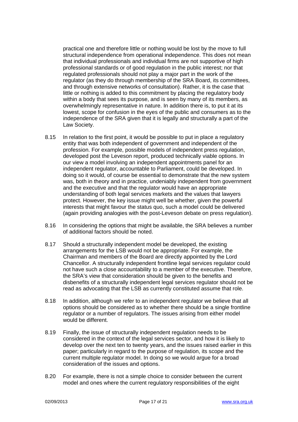practical one and therefore little or nothing would be lost by the move to full structural independence from operational independence. This does not mean that individual professionals and individual firms are not supportive of high professional standards or of good regulation in the public interest; nor that regulated professionals should not play a major part in the work of the regulator (as they do through membership of the SRA Board, its committees, and through extensive networks of consultation). Rather, it is the case that little or nothing is added to this commitment by placing the regulatory body within a body that sees its purpose, and is seen by many of its members, as overwhelmingly representative in nature. In addition there is, to put it at its lowest, scope for confusion in the eyes of the public and consumers as to the independence of the SRA given that it is legally and structurally a part of the Law Society.

- 8.15 In relation to the first point, it would be possible to put in place a regulatory entity that was both independent of government and independent of the profession. For example, possible models of independent press regulation, developed post the Leveson report, produced technically viable options. In our view a model involving an independent appointments panel for an independent regulator, accountable to Parliament, could be developed. In doing so it would, of course be essential to demonstrate that the new system was, both in theory and in practice, undeniably independent from government and the executive and that the regulator would have an appropriate understanding of both legal services markets and the values that lawyers protect. However, the key issue might well be whether, given the powerful interests that might favour the status guo, such a model could be delivered (again providing analogies with the post-Leveson debate on press regulation).
- In considering the options that might be available, the SRA believes a number 8.16 of additional factors should be noted.
- 8.17 Should a structurally independent model be developed, the existing arrangements for the LSB would not be appropriate. For example, the Chairman and members of the Board are directly appointed by the Lord Chancellor, A structurally independent frontline legal services regulator could not have such a close accountability to a member of the executive. Therefore, the SRA's view that consideration should be given to the benefits and disbenefits of a structurally independent legal services regulator should not be read as advocating that the LSB as currently constituted assume that role.
- 8.18 In addition, although we refer to an independent regulator we believe that all options should be considered as to whether there should be a single frontline regulator or a number of regulators. The issues arising from either model would be different.
- Finally, the issue of structurally independent regulation needs to be 8.19 considered in the context of the legal services sector, and how it is likely to develop over the next ten to twenty years, and the issues raised earlier in this paper; particularly in regard to the purpose of regulation, its scope and the current multiple regulator model. In doing so we would argue for a broad consideration of the issues and options.
- 8.20 For example, there is not a simple choice to consider between the current model and ones where the current regulatory responsibilities of the eight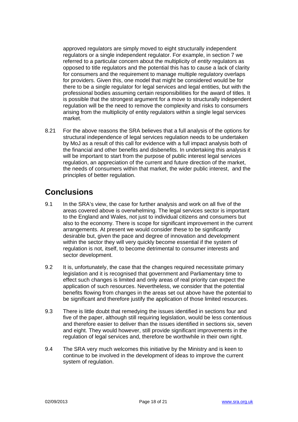approved regulators are simply moved to eight structurally independent requilators or a single independent requilator. For example, in section 7 we referred to a particular concern about the multiplicity of *entity* regulators as opposed to title regulators and the potential this has to cause a lack of clarity for consumers and the requirement to manage multiple regulatory overlaps for providers. Given this, one model that might be considered would be for there to be a single regulator for legal services and legal entities, but with the professional bodies assuming certain responsibilities for the award of titles. It is possible that the strongest argument for a move to structurally independent regulation will be the need to remove the complexity and risks to consumers arising from the multiplicity of entity regulators within a single legal services market.

8.21 For the above reasons the SRA believes that a full analysis of the options for structural independence of legal services regulation needs to be undertaken bv MoJ as a result of this call for evidence with a full impact analysis both of the financial and other benefits and disbenefits. In undertaking this analysis it will be important to start from the purpose of public interest legal services regulation, an appreciation of the current and future direction of the market, the needs of consumers within that market, the wider public interest, and the principles of better regulation.

### **Conclusions**

- In the SRA's view, the case for further analysis and work on all five of the  $9.1$ areas covered above is overwhelming. The legal services sector is important to the England and Wales, not just to individual citizens and consumers but also to the economy. There is scope for significant improvement in the current arrangements. At present we would consider these to be significantly desirable but, given the pace and degree of innovation and development within the sector they will very quickly become essential if the system of regulation is not, itself, to become detrimental to consumer interests and sector development.
- 92 It is, unfortunately, the case that the changes required necessitate primary legislation and it is recognised that government and Parliamentary time to effect such changes is limited and only areas of real priority can expect the application of such resources. Nevertheless, we consider that the potential benefits flowing from changes in the areas set out above have the potential to be significant and therefore justify the application of those limited resources.
- 9.3 There is little doubt that remedying the issues identified in sections four and five of the paper, although still requiring legislation, would be less contentious and therefore easier to deliver than the issues identified in sections six, seven and eight. They would however, still provide significant improvements in the regulation of legal services and, therefore be worthwhile in their own right.
- 94 The SRA very much welcomes this initiative by the Ministry and is keen to continue to be involved in the development of ideas to improve the current system of regulation.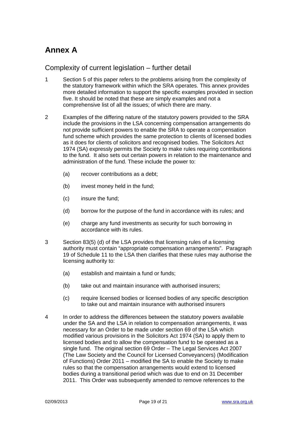## **Annex A**

#### Complexity of current legislation – further detail

- $\mathbf{1}$ Section 5 of this paper refers to the problems arising from the complexity of the statutory framework within which the SRA operates. This annex provides more detailed information to support the specific examples provided in section five. It should be noted that these are simply examples and not a comprehensive list of all the issues; of which there are many.
- $\mathcal{P}$ Examples of the differing nature of the statutory powers provided to the SRA include the provisions in the LSA concerning compensation arrangements do not provide sufficient powers to enable the SRA to operate a compensation fund scheme which provides the same protection to clients of licensed bodies as it does for clients of solicitors and recognised bodies. The Solicitors Act 1974 (SA) expressly permits the Society to make rules requiring contributions to the fund. It also sets out certain powers in relation to the maintenance and administration of the fund. These include the power to:
	- $(a)$ recover contributions as a debt:
	- $(b)$ invest money held in the fund:
	- $(c)$ insure the fund:
	- $(d)$ borrow for the purpose of the fund in accordance with its rules; and
	- $(e)$ charge any fund investments as security for such borrowing in accordance with its rules.
- 3 Section 83(5) (d) of the LSA provides that licensing rules of a licensing authority must contain "appropriate compensation arrangements". Paragraph 19 of Schedule 11 to the LSA then clarifies that these rules may authorise the licensing authority to:
	- establish and maintain a fund or funds;  $(a)$
	- $(b)$ take out and maintain insurance with authorised insurers;
	- $(c)$ require licensed bodies or licensed bodies of any specific description to take out and maintain insurance with authorised insurers
- $\boldsymbol{\Lambda}$ In order to address the differences between the statutory powers available under the SA and the LSA in relation to compensation arrangements, it was necessary for an Order to be made under section 69 of the LSA which modified various provisions in the Solicitors Act 1974 (SA) to apply them to licensed bodies and to allow the compensation fund to be operated as a single fund. The original section 69 Order - The Legal Services Act 2007 (The Law Society and the Council for Licensed Conveyancers) (Modification of Functions) Order 2011 – modified the SA to enable the Society to make rules so that the compensation arrangements would extend to licensed bodies during a transitional period which was due to end on 31 December 2011. This Order was subsequently amended to remove references to the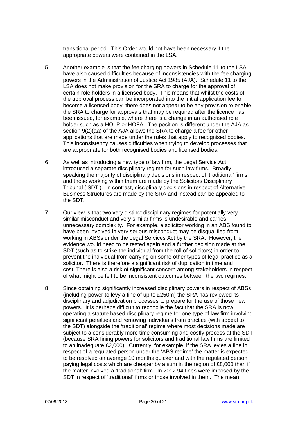transitional period. This Order would not have been necessary if the appropriate powers were contained in the LSA.

- 5 Another example is that the fee charging powers in Schedule 11 to the LSA have also caused difficulties because of inconsistencies with the fee charging powers in the Administration of Justice Act 1985 (AJA). Schedule 11 to the LSA does not make provision for the SRA to charge for the approval of certain role holders in a licensed body. This means that whilst the costs of the approval process can be incorporated into the initial application fee to become a licensed body, there does not appear to be any provision to enable the SRA to charge for approvals that may be required after the licence has been issued, for example, where there is a change in an authorised role holder such as a HOLP or HOFA. The position is different under the AJA as section 9(2)(aa) of the AJA allows the SRA to charge a fee for other applications that are made under the rules that apply to recognised bodies. This inconsistency causes difficulties when trying to develop processes that are appropriate for both recognised bodies and licensed bodies.
- As well as introducing a new type of law firm, the Legal Service Act 6 introduced a separate disciplinary regime for such law firms. Broadly speaking the majority of disciplinary decisions in respect of 'traditional' firms and those working within them are made by the Solicitors Disciplinary Tribunal ('SDT'). In contrast, disciplinary decisions in respect of Alternative Business Structures are made by the SRA and instead can be appealed to the SDT.
- $\overline{7}$ Our view is that two very distinct disciplinary regimes for potentially very similar misconduct and very similar firms is undesirable and carries unnecessary complexity. For example, a solicitor working in an ABS found to have been involved in very serious misconduct may be disqualified from working in ABSs under the Legal Services Act by the SRA. However, the evidence would need to be tested again and a further decision made at the SDT (such as to strike the individual from the roll of solicitors) in order to prevent the individual from carrying on some other types of legal practice as a solicitor. There is therefore a significant risk of duplication in time and cost. There is also a risk of significant concern among stakeholders in respect of what might be felt to be inconsistent outcomes between the two regimes.
- 8 Since obtaining significantly increased disciplinary powers in respect of ABSs (including power to levy a fine of up to £250m) the SRA has reviewed its disciplinary and adjudication processes to prepare for the use of those new powers. It is perhaps difficult to reconcile the fact that the SRA is now operating a statute based disciplinary regime for one type of law firm involving significant penalties and removing individuals from practice (with appeal to the SDT) alongside the 'traditional' regime where most decisions made are subject to a considerably more time consuming and costly process at the SDT (because SRA fining powers for solicitors and traditional law firms are limited to an inadequate £2,000). Currently, for example, if the SRA levies a fine in respect of a regulated person under the 'ABS regime' the matter is expected to be resolved on average 10 months guicker and with the regulated person paying legal costs which are cheaper by a sum in the region of £8,000 than if the matter involved a 'traditional' firm. In 2012 94 fines were imposed by the SDT in respect of 'traditional' firms or those involved in them. The mean